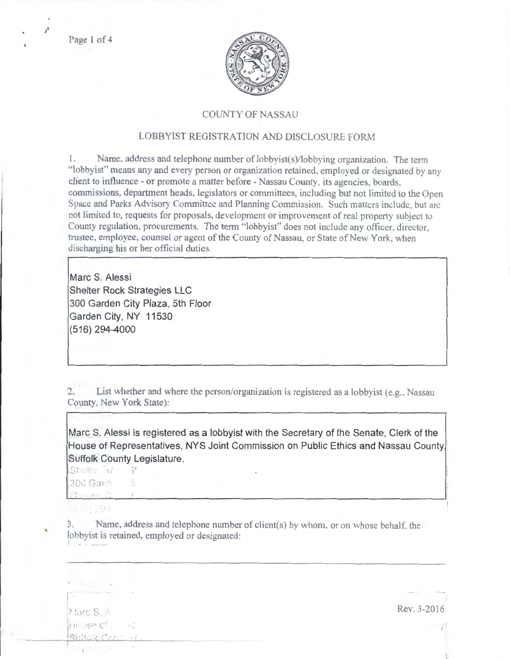Page 1 of 4

 $j^{\rm g}$ 



## COUNTY OF NASSAU

## LOBBYIST REGISTRATION AND DISCLOSURE FORM

1. Name, address and telephone number of lobbyist(s)/lobbying organization. The term "lobbyist" means any and every person or organization retained, employed or designated by any client to influence - or promote a matter before - Nassau County, its agencies, boards. commissions. department heads. legislators or committees. including but not limited to the Open Space and Parks Advisory Committee and Planning Commission. Such matters include, but are not limited to, requests for proposals, development or improvement of real property subject to County regulation, procurements. The term "lobbyist" does not include any officer, director, trustee, employee, counsel or agent of the County of Nassau, or State of New York, when discharging his or her official duties.

**Marc S. Alessi Shelter Rock Strategies LLC 300 Garden City Plaza, 5th Floor Garden City, NY 11530 (516) 294-4000** 

2. List whether and where the person/organization is registered as a lobbyist (e.g., Nassau County, New York State):

**Marc S. Alessi is registered as a lobbyist with the Secretary of the Senate, Clerk of the House of Representatives, NYS Joint Commission on Public Ethics and Nassau County Suffolk County Legislature.** 

 $|$ Shelter  $\pi$   $\cdot$   $\cdot$   $\cdot$   $\cdot$   $\cdot$   $\cdot$ 

300 Gard ,,

Conflore Co

아 너는 고요해.

3. Name, address and telephone number of client(s) by whom, or on whose behalf, the lobbyist is retained, employed or designated:

 $\mathbf{V} = \mathbf{V} \mathbf{R} \mathbf{V}$ Re\'. 3-2016 Marc S. A in Isac . 一度 **Birthdie Cela**  $\mathbb{E}[\mathbf{v}](\mathbf{r}^{\top},\mathbf{r}^{\top})$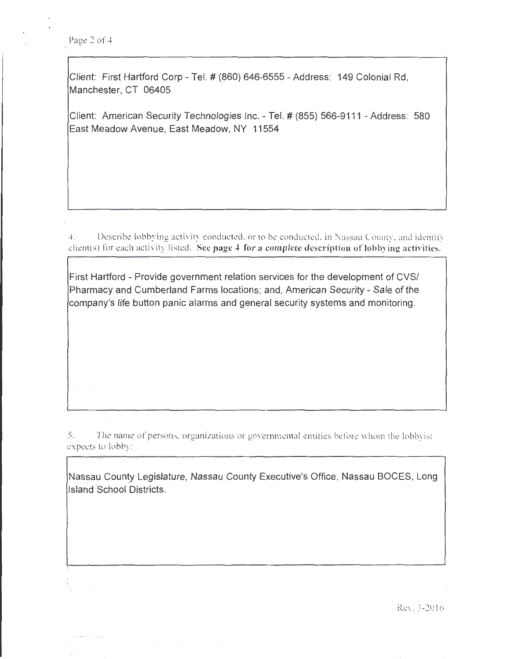Page 2 of 4

Client: First Hartford Corp- Tel.# (860) 646-6555- Address: 149 Colonial Rd, Manchester, CT 06405

Client: American Security Technologies Inc.- Tel.# (855) 566-9111 -Address: 580 East Meadow Avenue, East Meadow, NY 11554

4. **Describe lobbying activity conducted, or to be conducted, in Nassau County, and identify** client(s) for each activity listed. See page 4 for a complete description of lobbying activities.

First Hartford - Provide government relation services for the development of CVS/ Pharmacy and Cumberland Farms locations; and, American Security- Sale of the company's life button panic alarms and general security systems and monitoring.

5. . The name of persons, organizations or governmental entities before whom the lobbyist expects to lobby:

Nassau County Legislature, Nassau County Executive's Office, Nassau BOCES, Long Island School Districts.

Rev. 3-2016

'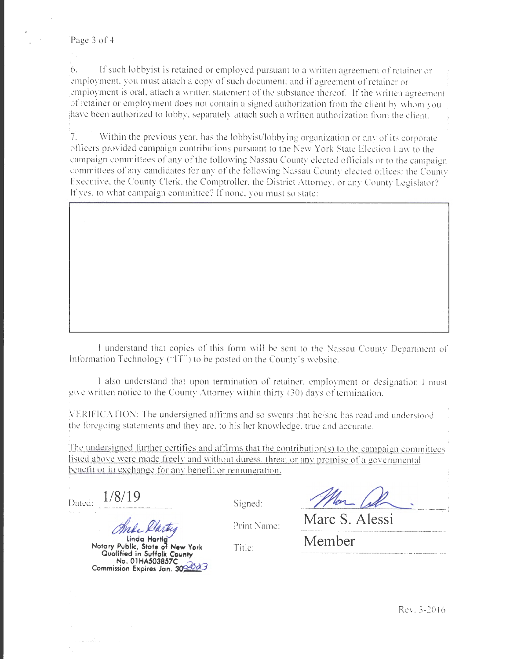Page 3 of 4

6. '6. If such lobbyist is retained or employed pursuant to a written agreement of retainer or ;employment. you must attach a copy of such document; and if agreement of retainer or 'employment is oral, attach a written statement of the substance thereof. If the written agreement .of retainer or employment does not contain a signed authorization from the cli ent by whom you !have been authorized to lobby. separately attach such a written authorization from the client.

7. Within the previous year, has the lobbyist/lobbying organization or any of its corporate officers provided campaign contributions pursuant to the New York State Election Law to the campaign committees of any of the following Nassau County elected officials or to the campaign committees of any candidates for any of the following Nassau County elected oflices: the County Executive, the County Clerk. the Comptroller, the District Attorney, or any County Legislator? If yes, to what campaign committee? If none, you must so state:

I understand that copie of this form will be sent to the Nassau County Department of Information Technology ("IT") to be posted on the County's website.

I also understand that upon termination of retainer, employment or designation I must give written notice to the County Attorney within thirty (30) days of termination.

VERIFICATION: The undersigned affirms and so swears that he/she has read and understood the foregoing statements and they are, to his/her knowledge, true and accurate.

The undersigned further certifies and affirms that the contribution(s) to the campaign committees listed above were made freely and without duress, threat or any promise of a governmental benefit or in exchange for any benefit or remuneration.

Dared: **1/8/19** 

And Darting

**Notary Public, State ol New York Qualified in Suffolk Covnty No. 01HA503857C**  Commission Expires Jan. 30<sup>06</sup>d3

Signed: Man Col **Marc S. Alessi** 

Print Name:

Title:

**Member**